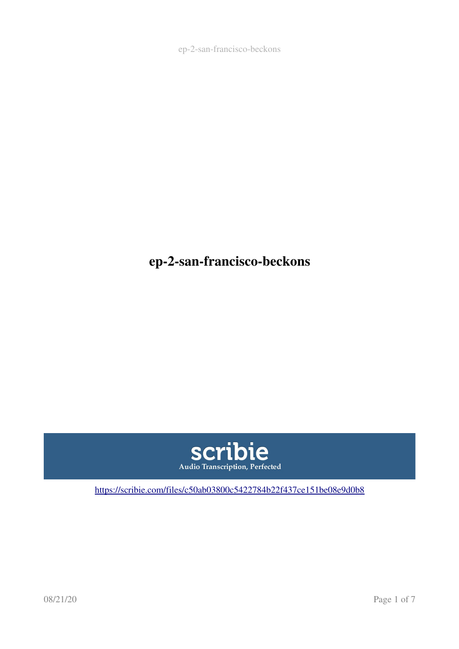ep-2-san-francisco-beckons

## ep-2-san-francisco-beckons



[https://scribie.com/files/c50ab03800c5422784b22f437ce151be08e9d0b8](https://scribie.com/files/%7BFID%7D)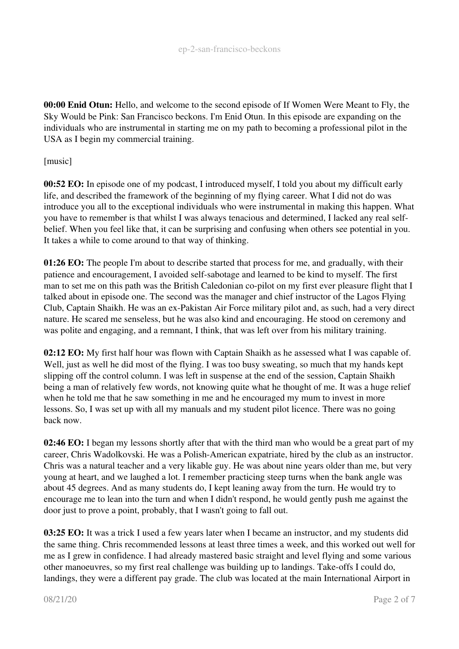00:00 Enid Otun: Hello, and welcome to the second episode of If Women Were Meant to Fly, the Sky Would be Pink: San Francisco beckons. I'm Enid Otun. In this episode are expanding on the individuals who are instrumental in starting me on my path to becoming a professional pilot in the USA as I begin my commercial training.

[music]

00:52 EO: In episode one of my podcast, I introduced myself, I told you about my difficult early life, and described the framework of the beginning of my flying career. What I did not do was introduce you all to the exceptional individuals who were instrumental in making this happen. What you have to remember is that whilst I was always tenacious and determined, I lacked any real selfbelief. When you feel like that, it can be surprising and confusing when others see potential in you. It takes a while to come around to that way of thinking.

01:26 EO: The people I'm about to describe started that process for me, and gradually, with their patience and encouragement. I avoided self-sabotage and learned to be kind to myself. The first man to set me on this path was the British Caledonian co-pilot on my first ever pleasure flight that I talked about in episode one. The second was the manager and chief instructor of the Lagos Flying Club, Captain Shaikh. He was an ex-Pakistan Air Force military pilot and, as such, had a very direct nature. He scared me senseless, but he was also kind and encouraging. He stood on ceremony and was polite and engaging, and a remnant, I think, that was left over from his military training.

02:12 EO: My first half hour was flown with Captain Shaikh as he assessed what I was capable of. Well, just as well he did most of the flying. I was too busy sweating, so much that my hands kept slipping off the control column. I was left in suspense at the end of the session, Captain Shaikh being a man of relatively few words, not knowing quite what he thought of me. It was a huge relief when he told me that he saw something in me and he encouraged my mum to invest in more lessons. So, I was set up with all my manuals and my student pilot licence. There was no going back now.

02:46 EO: I began my lessons shortly after that with the third man who would be a great part of my career, Chris Wadolkovski. He was a Polish-American expatriate, hired by the club as an instructor. Chris was a natural teacher and a very likable guy. He was about nine years older than me, but very young at heart, and we laughed a lot. I remember practicing steep turns when the bank angle was about 45 degrees. And as many students do, I kept leaning away from the turn. He would try to encourage me to lean into the turn and when I didn't respond, he would gently push me against the door just to prove a point, probably, that I wasn't going to fall out.

03:25 EO: It was a trick I used a few years later when I became an instructor, and my students did the same thing. Chris recommended lessons at least three times a week, and this worked out well for me as I grew in confidence. I had already mastered basic straight and level flying and some various other manoeuvres, so my first real challenge was building up to landings. Take-offs I could do, landings, they were a different pay grade. The club was located at the main International Airport in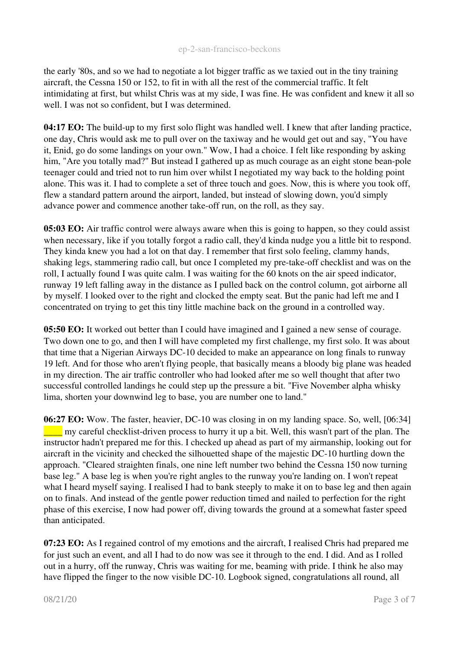the early '80s, and so we had to negotiate a lot bigger traffic as we taxied out in the tiny training aircraft, the Cessna 150 or 152, to fit in with all the rest of the commercial traffic. It felt intimidating at first, but whilst Chris was at my side, I was fine. He was confident and knew it all so well. I was not so confident, but I was determined.

04:17 EO: The build-up to my first solo flight was handled well. I knew that after landing practice, one day, Chris would ask me to pull over on the taxiway and he would get out and say, "You have it, Enid, go do some landings on your own." Wow, I had a choice. I felt like responding by asking him, "Are you totally mad?" But instead I gathered up as much courage as an eight stone bean-pole teenager could and tried not to run him over whilst I negotiated my way back to the holding point alone. This was it. I had to complete a set of three touch and goes. Now, this is where you took off, flew a standard pattern around the airport, landed, but instead of slowing down, you'd simply advance power and commence another take-off run, on the roll, as they say.

05:03 EO: Air traffic control were always aware when this is going to happen, so they could assist when necessary, like if you totally forgot a radio call, they'd kinda nudge you a little bit to respond. They kinda knew you had a lot on that day. I remember that first solo feeling, clammy hands, shaking legs, stammering radio call, but once I completed my pre-take-off checklist and was on the roll, I actually found I was quite calm. I was waiting for the 60 knots on the air speed indicator, runway 19 left falling away in the distance as I pulled back on the control column, got airborne all by myself. I looked over to the right and clocked the empty seat. But the panic had left me and I concentrated on trying to get this tiny little machine back on the ground in a controlled way.

05:50 EO: It worked out better than I could have imagined and I gained a new sense of courage. Two down one to go, and then I will have completed my first challenge, my first solo. It was about that time that a Nigerian Airways DC-10 decided to make an appearance on long finals to runway 19 left. And for those who aren't flying people, that basically means a bloody big plane was headed in my direction. The air traffic controller who had looked after me so well thought that after two successful controlled landings he could step up the pressure a bit. "Five November alpha whisky lima, shorten your downwind leg to base, you are number one to land."

06:27 EO: Wow. The faster, heavier, DC-10 was closing in on my landing space. So, well, [06:34]  $\Box$  my careful checklist-driven process to hurry it up a bit. Well, this wasn't part of the plan. The instructor hadn't prepared me for this. I checked up ahead as part of my airmanship, looking out for aircraft in the vicinity and checked the silhouetted shape of the majestic DC-10 hurtling down the approach. "Cleared straighten finals, one nine left number two behind the Cessna 150 now turning base leg." A base leg is when you're right angles to the runway you're landing on. I won't repeat what I heard myself saying. I realised I had to bank steeply to make it on to base leg and then again on to finals. And instead of the gentle power reduction timed and nailed to perfection for the right phase of this exercise, I now had power off, diving towards the ground at a somewhat faster speed than anticipated.

07:23 EO: As I regained control of my emotions and the aircraft, I realised Chris had prepared me for just such an event, and all I had to do now was see it through to the end. I did. And as I rolled out in a hurry, off the runway, Chris was waiting for me, beaming with pride. I think he also may have flipped the finger to the now visible DC-10. Logbook signed, congratulations all round, all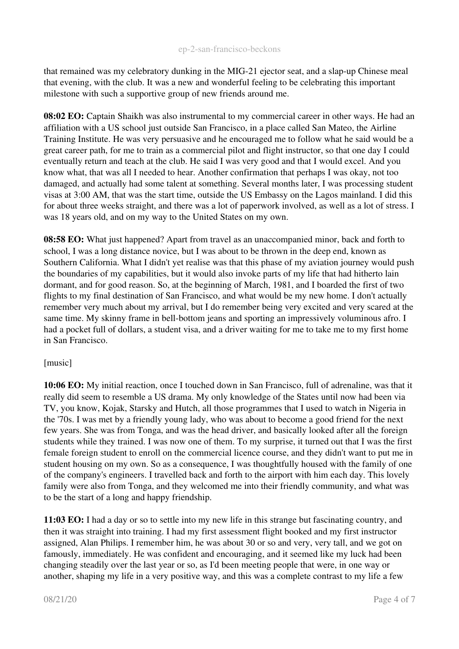that remained was my celebratory dunking in the MIG-21 ejector seat, and a slap-up Chinese meal that evening, with the club. It was a new and wonderful feeling to be celebrating this important milestone with such a supportive group of new friends around me.

08:02 EO: Captain Shaikh was also instrumental to my commercial career in other ways. He had an affiliation with a US school just outside San Francisco, in a place called San Mateo, the Airline Training Institute. He was very persuasive and he encouraged me to follow what he said would be a great career path, for me to train as a commercial pilot and flight instructor, so that one day I could eventually return and teach at the club. He said I was very good and that I would excel. And you know what, that was all I needed to hear. Another confirmation that perhaps I was okay, not too damaged, and actually had some talent at something. Several months later, I was processing student visas at 3:00 AM, that was the start time, outside the US Embassy on the Lagos mainland. I did this for about three weeks straight, and there was a lot of paperwork involved, as well as a lot of stress. I was 18 years old, and on my way to the United States on my own.

08:58 EO: What just happened? Apart from travel as an unaccompanied minor, back and forth to school, I was a long distance novice, but I was about to be thrown in the deep end, known as Southern California. What I didn't yet realise was that this phase of my aviation journey would push the boundaries of my capabilities, but it would also invoke parts of my life that had hitherto lain dormant, and for good reason. So, at the beginning of March, 1981, and I boarded the first of two flights to my final destination of San Francisco, and what would be my new home. I don't actually remember very much about my arrival, but I do remember being very excited and very scared at the same time. My skinny frame in bell-bottom jeans and sporting an impressively voluminous afro. I had a pocket full of dollars, a student visa, and a driver waiting for me to take me to my first home in San Francisco.

## [music]

10:06 EO: My initial reaction, once I touched down in San Francisco, full of adrenaline, was that it really did seem to resemble a US drama. My only knowledge of the States until now had been via TV, you know, Kojak, Starsky and Hutch, all those programmes that I used to watch in Nigeria in the '70s. I was met by a friendly young lady, who was about to become a good friend for the next few years. She was from Tonga, and was the head driver, and basically looked after all the foreign students while they trained. I was now one of them. To my surprise, it turned out that I was the first female foreign student to enroll on the commercial licence course, and they didn't want to put me in student housing on my own. So as a consequence, I was thoughtfully housed with the family of one of the company's engineers. I travelled back and forth to the airport with him each day. This lovely family were also from Tonga, and they welcomed me into their friendly community, and what was to be the start of a long and happy friendship.

11:03 EO: I had a day or so to settle into my new life in this strange but fascinating country, and then it was straight into training. I had my first assessment flight booked and my first instructor assigned, Alan Philips. I remember him, he was about 30 or so and very, very tall, and we got on famously, immediately. He was confident and encouraging, and it seemed like my luck had been changing steadily over the last year or so, as I'd been meeting people that were, in one way or another, shaping my life in a very positive way, and this was a complete contrast to my life a few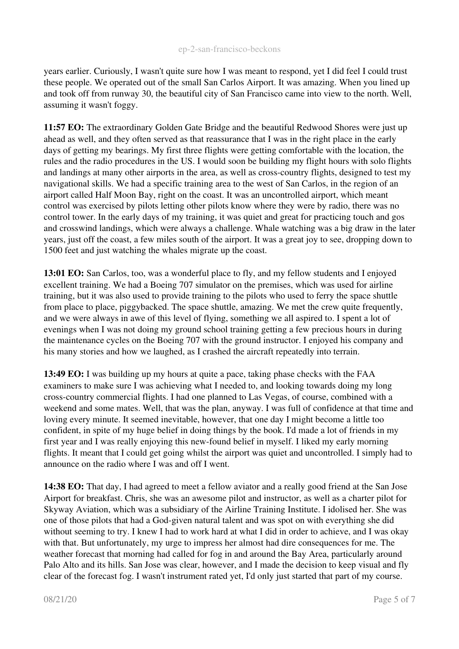years earlier. Curiously, I wasn't quite sure how I was meant to respond, yet I did feel I could trust these people. We operated out of the small San Carlos Airport. It was amazing. When you lined up and took off from runway 30, the beautiful city of San Francisco came into view to the north. Well, assuming it wasn't foggy.

11:57 EO: The extraordinary Golden Gate Bridge and the beautiful Redwood Shores were just up ahead as well, and they often served as that reassurance that I was in the right place in the early days of getting my bearings. My first three flights were getting comfortable with the location, the rules and the radio procedures in the US. I would soon be building my flight hours with solo flights and landings at many other airports in the area, as well as cross-country flights, designed to test my navigational skills. We had a specific training area to the west of San Carlos, in the region of an airport called Half Moon Bay, right on the coast. It was an uncontrolled airport, which meant control was exercised by pilots letting other pilots know where they were by radio, there was no control tower. In the early days of my training, it was quiet and great for practicing touch and gos and crosswind landings, which were always a challenge. Whale watching was a big draw in the later years, just off the coast, a few miles south of the airport. It was a great joy to see, dropping down to 1500 feet and just watching the whales migrate up the coast.

13:01 EO: San Carlos, too, was a wonderful place to fly, and my fellow students and I enjoyed excellent training. We had a Boeing 707 simulator on the premises, which was used for airline training, but it was also used to provide training to the pilots who used to ferry the space shuttle from place to place, piggybacked. The space shuttle, amazing. We met the crew quite frequently, and we were always in awe of this level of flying, something we all aspired to. I spent a lot of evenings when I was not doing my ground school training getting a few precious hours in during the maintenance cycles on the Boeing 707 with the ground instructor. I enjoyed his company and his many stories and how we laughed, as I crashed the aircraft repeatedly into terrain.

13:49 EO: I was building up my hours at quite a pace, taking phase checks with the FAA examiners to make sure I was achieving what I needed to, and looking towards doing my long cross-country commercial flights. I had one planned to Las Vegas, of course, combined with a weekend and some mates. Well, that was the plan, anyway. I was full of confidence at that time and loving every minute. It seemed inevitable, however, that one day I might become a little too confident, in spite of my huge belief in doing things by the book. I'd made a lot of friends in my first year and I was really enjoying this new-found belief in myself. I liked my early morning flights. It meant that I could get going whilst the airport was quiet and uncontrolled. I simply had to announce on the radio where I was and off I went.

14:38 EO: That day, I had agreed to meet a fellow aviator and a really good friend at the San Jose Airport for breakfast. Chris, she was an awesome pilot and instructor, as well as a charter pilot for Skyway Aviation, which was a subsidiary of the Airline Training Institute. I idolised her. She was one of those pilots that had a God-given natural talent and was spot on with everything she did without seeming to try. I knew I had to work hard at what I did in order to achieve, and I was okay with that. But unfortunately, my urge to impress her almost had dire consequences for me. The weather forecast that morning had called for fog in and around the Bay Area, particularly around Palo Alto and its hills. San Jose was clear, however, and I made the decision to keep visual and fly clear of the forecast fog. I wasn't instrument rated yet, I'd only just started that part of my course.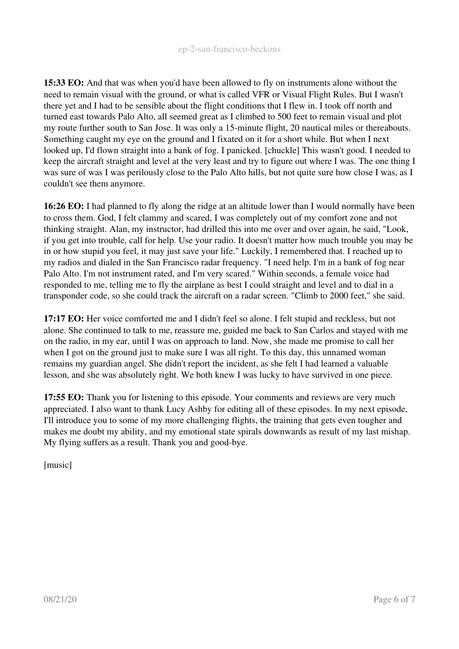15:33 EO: And that was when you'd have been allowed to fly on instruments alone without the need to remain visual with the ground, or what is called VFR or Visual Flight Rules. But I wasn't there yet and I had to be sensible about the flight conditions that I flew in. I took off north and turned east towards Palo Alto, all seemed great as I climbed to 500 feet to remain visual and plot my route further south to San Jose. It was only a 15-minute flight, 20 nautical miles or thereabouts. Something caught my eye on the ground and I fixated on it for a short while. But when I next looked up, I'd flown straight into a bank of fog. I panicked. [chuckle] This wasn't good. I needed to keep the aircraft straight and level at the very least and try to figure out where I was. The one thing I was sure of was I was perilously close to the Palo Alto hills, but not quite sure how close I was, as I couldn't see them anymore.

16:26 EO: I had planned to fly along the ridge at an altitude lower than I would normally have been to cross them. God, I felt clammy and scared, I was completely out of my comfort zone and not thinking straight. Alan, my instructor, had drilled this into me over and over again, he said, "Look, if you get into trouble, call for help. Use your radio. It doesn't matter how much trouble you may be in or how stupid you feel, it may just save your life." Luckily, I remembered that. I reached up to my radios and dialed in the San Francisco radar frequency. "I need help. I'm in a bank of fog near Palo Alto. I'm not instrument rated, and I'm very scared." Within seconds, a female voice had responded to me, telling me to fly the airplane as best I could straight and level and to dial in a transponder code, so she could track the aircraft on a radar screen. "Climb to 2000 feet," she said.

17:17 EO: Her voice comforted me and I didn't feel so alone. I felt stupid and reckless, but not alone. She continued to talk to me, reassure me, guided me back to San Carlos and stayed with me on the radio, in my ear, until I was on approach to land. Now, she made me promise to call her when I got on the ground just to make sure I was all right. To this day, this unnamed woman remains my guardian angel. She didn't report the incident, as she felt I had learned a valuable lesson, and she was absolutely right. We both knew I was lucky to have survived in one piece.

17:55 EO: Thank you for listening to this episode. Your comments and reviews are very much appreciated. I also want to thank Lucy Ashby for editing all of these episodes. In my next episode, I'll introduce you to some of my more challenging flights, the training that gets even tougher and makes me doubt my ability, and my emotional state spirals downwards as result of my last mishap. My flying suffers as a result. Thank you and good-bye.

[music]